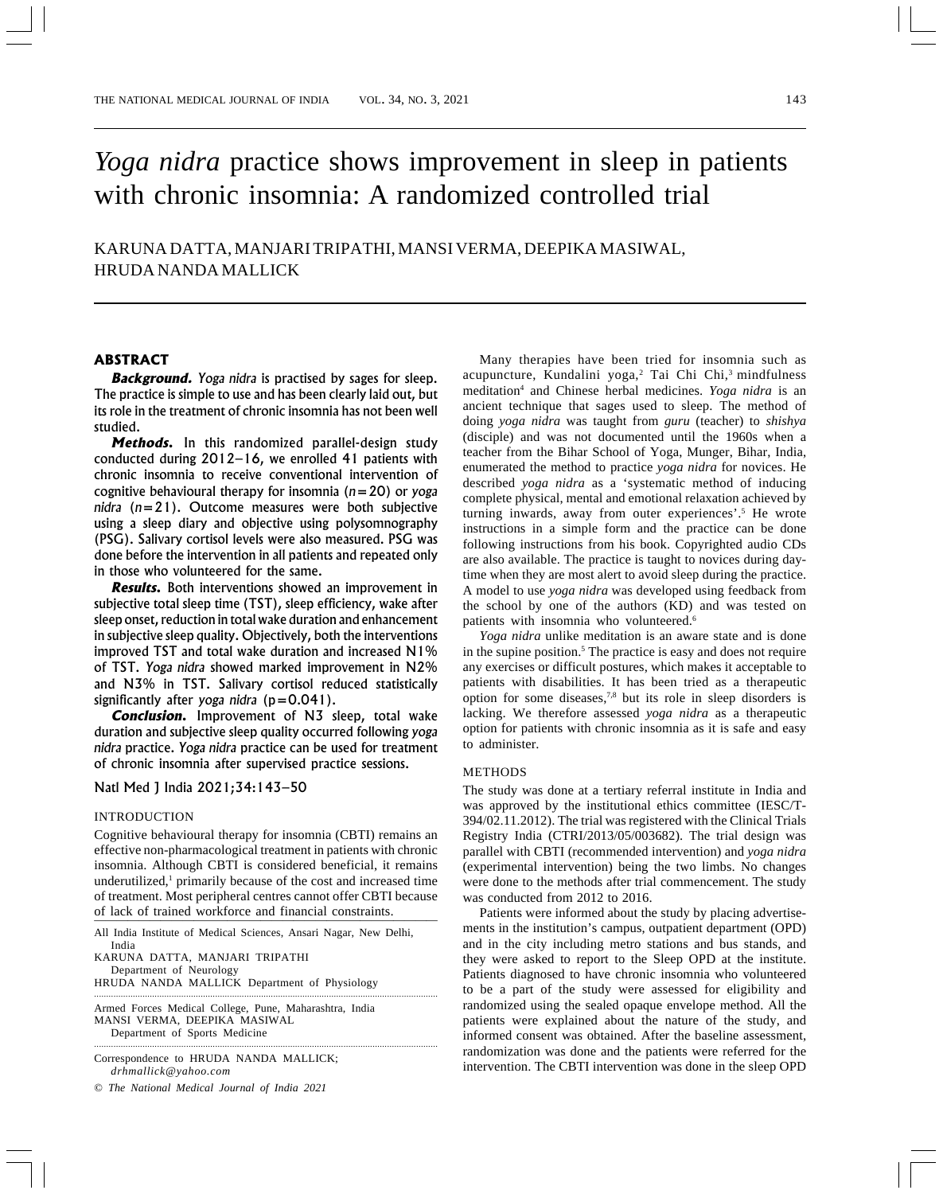# *Yoga nidra* practice shows improvement in sleep in patients with chronic insomnia: A randomized controlled trial

KARUNA DATTA, MANJARI TRIPATHI, MANSI VERMA, DEEPIKA MASIWAL, HRUDA NANDA MALLICK

# **ABSTRACT**

**Background.** *Yoga nidra* is practised by sages for sleep. The practice is simple to use and has been clearly laid out, but its role in the treatment of chronic insomnia has not been well studied.

**Methods.** In this randomized parallel-design study conducted during 2012–16, we enrolled 41 patients with chronic insomnia to receive conventional intervention of cognitive behavioural therapy for insomnia (*n*=20) or *yoga nidra* (*n*=21). Outcome measures were both subjective using a sleep diary and objective using polysomnography (PSG). Salivary cortisol levels were also measured. PSG was done before the intervention in all patients and repeated only in those who volunteered for the same.

**Results.** Both interventions showed an improvement in subjective total sleep time (TST), sleep efficiency, wake after sleep onset, reduction in total wake duration and enhancement in subjective sleep quality. Objectively, both the interventions improved TST and total wake duration and increased N1% of TST. *Yoga nidra* showed marked improvement in N2% and N3% in TST. Salivary cortisol reduced statistically significantly after *yoga nidra* (p=0.041).

**Conclusion.** Improvement of N3 sleep, total wake duration and subjective sleep quality occurred following *yoga nidra* practice. *Yoga nidra* practice can be used for treatment of chronic insomnia after supervised practice sessions.

# Natl Med J India 2021;34:143–50

#### INTRODUCTION

Cognitive behavioural therapy for insomnia (CBTI) remains an effective non-pharmacological treatment in patients with chronic insomnia. Although CBTI is considered beneficial, it remains underutilized,<sup>1</sup> primarily because of the cost and increased time of treatment. Most peripheral centres cannot offer CBTI because of lack of trained workforce and financial constraints.

All India Institute of Medical Sciences, Ansari Nagar, New Delhi, India KARUNA DATTA, MANJARI TRIPATHI

··············································································································································

Department of Neurology HRUDA NANDA MALLICK Department of Physiology

·············································································································································· Armed Forces Medical College, Pune, Maharashtra, India MANSI VERMA, DEEPIKA MASIWAL Department of Sports Medicine

Correspondence to HRUDA NANDA MALLICK; *drhmallick@yahoo.com*

© *The National Medical Journal of India 2021*

Many therapies have been tried for insomnia such as acupuncture, Kundalini yoga,<sup>2</sup> Tai Chi Chi,<sup>3</sup> mindfulness meditation<sup>4</sup> and Chinese herbal medicines. *Yoga nidra* is an ancient technique that sages used to sleep. The method of doing *yoga nidra* was taught from *guru* (teacher) to *shishya* (disciple) and was not documented until the 1960s when a teacher from the Bihar School of Yoga, Munger, Bihar, India, enumerated the method to practice *yoga nidra* for novices. He described *yoga nidra* as a 'systematic method of inducing complete physical, mental and emotional relaxation achieved by turning inwards, away from outer experiences'.<sup>5</sup> He wrote instructions in a simple form and the practice can be done following instructions from his book. Copyrighted audio CDs are also available. The practice is taught to novices during daytime when they are most alert to avoid sleep during the practice. A model to use *yoga nidra* was developed using feedback from the school by one of the authors (KD) and was tested on patients with insomnia who volunteered.<sup>6</sup>

*Yoga nidra* unlike meditation is an aware state and is done in the supine position.<sup>5</sup> The practice is easy and does not require any exercises or difficult postures, which makes it acceptable to patients with disabilities. It has been tried as a therapeutic option for some diseases,7,8 but its role in sleep disorders is lacking. We therefore assessed *yoga nidra* as a therapeutic option for patients with chronic insomnia as it is safe and easy to administer.

#### METHODS

The study was done at a tertiary referral institute in India and was approved by the institutional ethics committee (IESC/T-394/02.11.2012). The trial was registered with the Clinical Trials Registry India (CTRI/2013/05/003682). The trial design was parallel with CBTI (recommended intervention) and *yoga nidra* (experimental intervention) being the two limbs. No changes were done to the methods after trial commencement. The study was conducted from 2012 to 2016.

Patients were informed about the study by placing advertisements in the institution's campus, outpatient department (OPD) and in the city including metro stations and bus stands, and they were asked to report to the Sleep OPD at the institute. Patients diagnosed to have chronic insomnia who volunteered to be a part of the study were assessed for eligibility and randomized using the sealed opaque envelope method. All the patients were explained about the nature of the study, and informed consent was obtained. After the baseline assessment, randomization was done and the patients were referred for the intervention. The CBTI intervention was done in the sleep OPD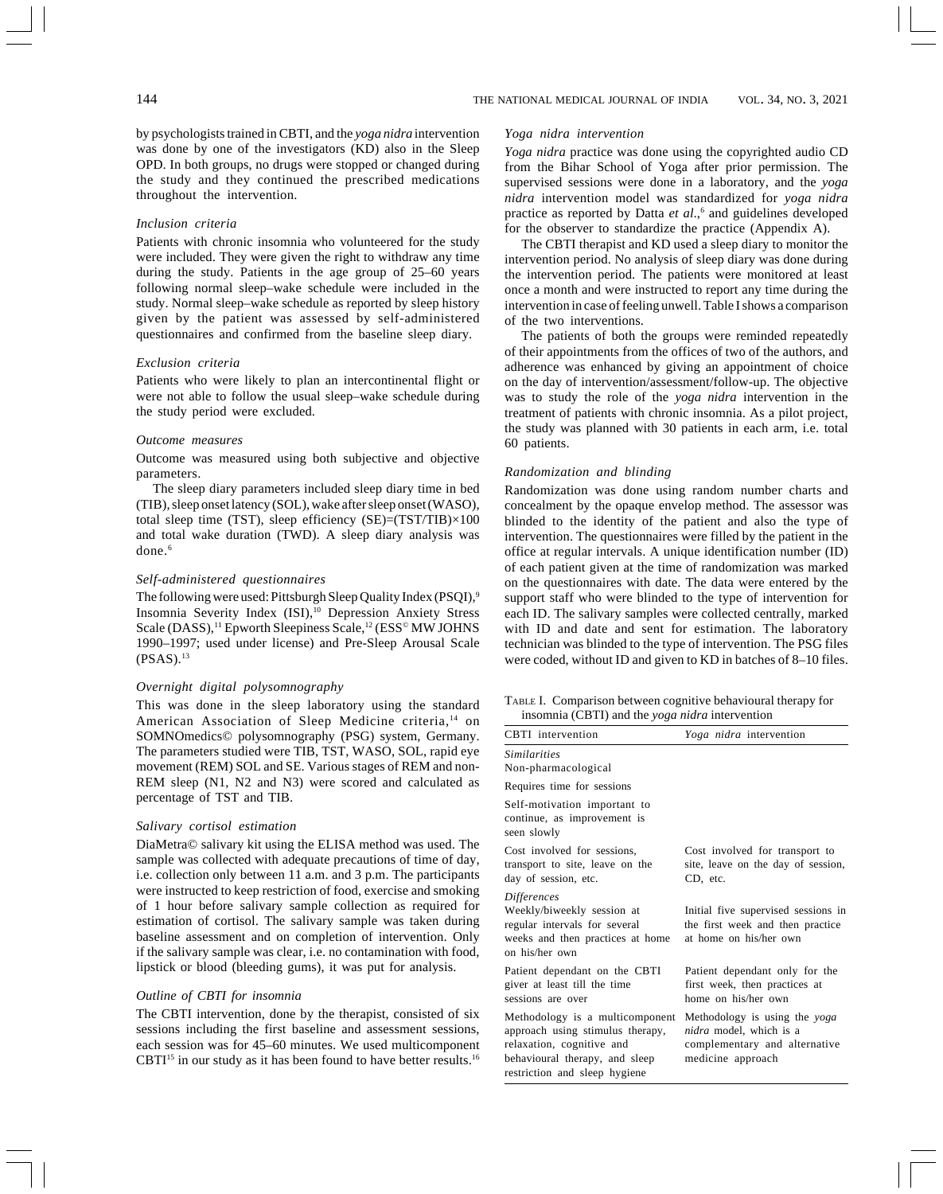by psychologists trained in CBTI, and the *yoga nidra* intervention was done by one of the investigators (KD) also in the Sleep OPD. In both groups, no drugs were stopped or changed during the study and they continued the prescribed medications throughout the intervention.

# *Inclusion criteria*

Patients with chronic insomnia who volunteered for the study were included. They were given the right to withdraw any time during the study. Patients in the age group of 25–60 years following normal sleep–wake schedule were included in the study. Normal sleep–wake schedule as reported by sleep history given by the patient was assessed by self-administered questionnaires and confirmed from the baseline sleep diary.

### *Exclusion criteria*

Patients who were likely to plan an intercontinental flight or were not able to follow the usual sleep–wake schedule during the study period were excluded.

#### *Outcome measures*

Outcome was measured using both subjective and objective parameters.

The sleep diary parameters included sleep diary time in bed (TIB), sleep onset latency (SOL), wake after sleep onset (WASO), total sleep time (TST), sleep efficiency  $(SE)=(TST/TIB)\times100$ and total wake duration (TWD). A sleep diary analysis was done.<sup>6</sup>

#### *Self-administered questionnaires*

The following were used: Pittsburgh Sleep Quality Index (PSQI),<sup>9</sup> Insomnia Severity Index (ISI),<sup>10</sup> Depression Anxiety Stress Scale (DASS),<sup>11</sup> Epworth Sleepiness Scale,<sup>12</sup> (ESS<sup>®</sup> MW JOHNS 1990–1997; used under license) and Pre-Sleep Arousal Scale  $(PSAS).<sup>13</sup>$ 

#### *Overnight digital polysomnography*

This was done in the sleep laboratory using the standard American Association of Sleep Medicine criteria,<sup>14</sup> on SOMNOmedics© polysomnography (PSG) system, Germany. The parameters studied were TIB, TST, WASO, SOL, rapid eye movement (REM) SOL and SE. Various stages of REM and non-REM sleep (N1, N2 and N3) were scored and calculated as percentage of TST and TIB.

#### *Salivary cortisol estimation*

DiaMetra© salivary kit using the ELISA method was used. The sample was collected with adequate precautions of time of day, i.e. collection only between 11 a.m. and 3 p.m. The participants were instructed to keep restriction of food, exercise and smoking of 1 hour before salivary sample collection as required for estimation of cortisol. The salivary sample was taken during baseline assessment and on completion of intervention. Only if the salivary sample was clear, i.e. no contamination with food, lipstick or blood (bleeding gums), it was put for analysis.

# *Outline of CBTI for insomnia*

The CBTI intervention, done by the therapist, consisted of six sessions including the first baseline and assessment sessions, each session was for 45–60 minutes. We used multicomponent CBTI $^{15}$  in our study as it has been found to have better results.<sup>16</sup>

# *Yoga nidra intervention*

*Yoga nidra* practice was done using the copyrighted audio CD from the Bihar School of Yoga after prior permission. The supervised sessions were done in a laboratory, and the *yoga nidra* intervention model was standardized for *yoga nidra* practice as reported by Datta *et al*.,<sup>6</sup> and guidelines developed for the observer to standardize the practice (Appendix A).

The CBTI therapist and KD used a sleep diary to monitor the intervention period. No analysis of sleep diary was done during the intervention period. The patients were monitored at least once a month and were instructed to report any time during the intervention in case of feeling unwell. Table I shows a comparison of the two interventions.

The patients of both the groups were reminded repeatedly of their appointments from the offices of two of the authors, and adherence was enhanced by giving an appointment of choice on the day of intervention/assessment/follow-up. The objective was to study the role of the *yoga nidra* intervention in the treatment of patients with chronic insomnia. As a pilot project, the study was planned with 30 patients in each arm, i.e. total 60 patients.

#### *Randomization and blinding*

Randomization was done using random number charts and concealment by the opaque envelop method. The assessor was blinded to the identity of the patient and also the type of intervention. The questionnaires were filled by the patient in the office at regular intervals. A unique identification number (ID) of each patient given at the time of randomization was marked on the questionnaires with date. The data were entered by the support staff who were blinded to the type of intervention for each ID. The salivary samples were collected centrally, marked with ID and date and sent for estimation. The laboratory technician was blinded to the type of intervention. The PSG files were coded, without ID and given to KD in batches of 8–10 files.

|  | TABLE I. Comparison between cognitive behavioural therapy for |
|--|---------------------------------------------------------------|
|  | insomnia (CBTI) and the yoga nidra intervention               |

| CBTI intervention                                                                                                                                                   | Yoga nidra intervention                                                                                               |
|---------------------------------------------------------------------------------------------------------------------------------------------------------------------|-----------------------------------------------------------------------------------------------------------------------|
| <i><u><b>Similarities</b></u></i><br>Non-pharmacological                                                                                                            |                                                                                                                       |
| Requires time for sessions                                                                                                                                          |                                                                                                                       |
| Self-motivation important to<br>continue, as improvement is<br>seen slowly                                                                                          |                                                                                                                       |
| Cost involved for sessions,<br>transport to site, leave on the<br>day of session, etc.                                                                              | Cost involved for transport to<br>site, leave on the day of session,<br>CD, etc.                                      |
| <i>Differences</i><br>Weekly/biweekly session at<br>regular intervals for several<br>weeks and then practices at home<br>on his/her own                             | Initial five supervised sessions in<br>the first week and then practice<br>at home on his/her own                     |
| Patient dependant on the CBTI<br>giver at least till the time<br>sessions are over                                                                                  | Patient dependant only for the<br>first week, then practices at<br>home on his/her own                                |
| Methodology is a multicomponent<br>approach using stimulus therapy,<br>relaxation, cognitive and<br>behavioural therapy, and sleep<br>restriction and sleep hygiene | Methodology is using the yoga<br><i>nidra</i> model, which is a<br>complementary and alternative<br>medicine approach |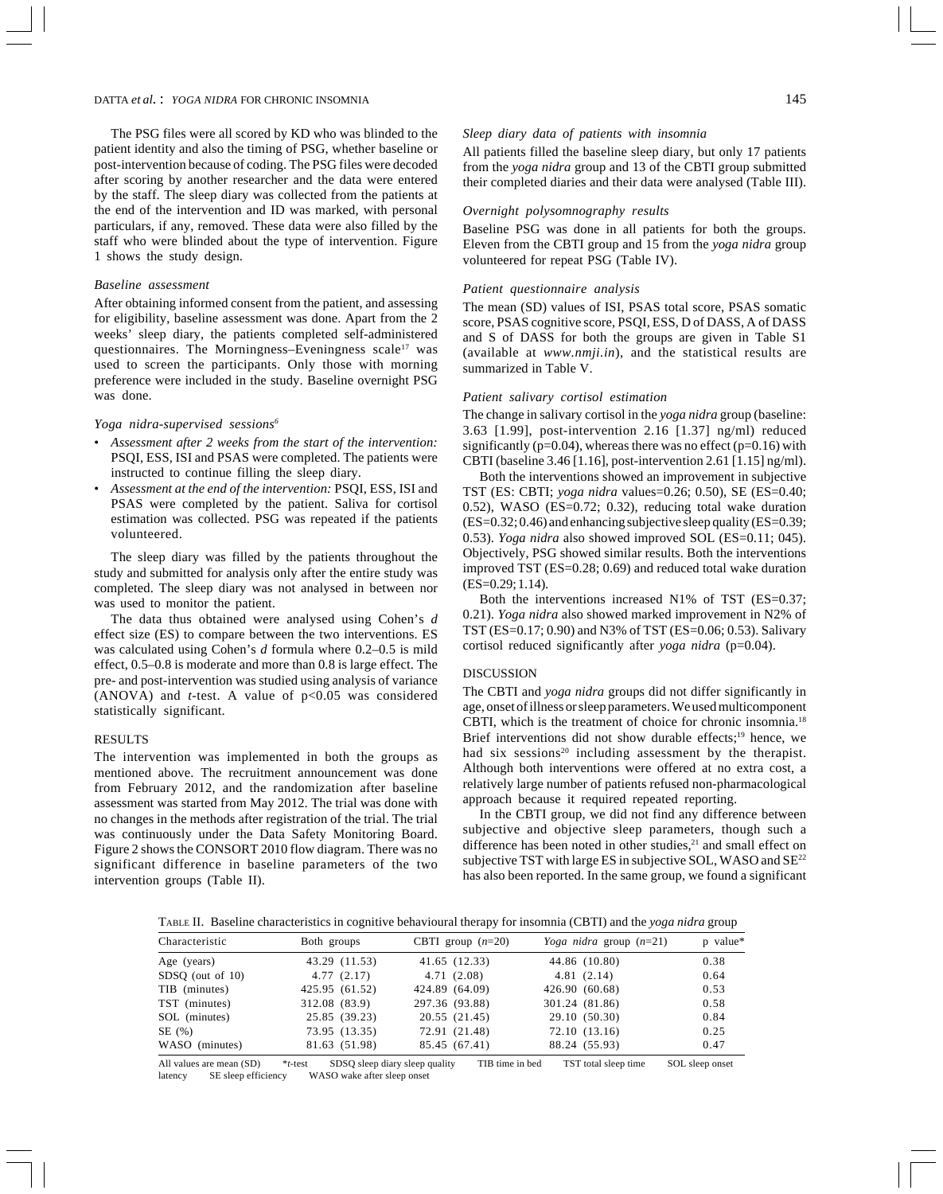The PSG files were all scored by KD who was blinded to the patient identity and also the timing of PSG, whether baseline or post-intervention because of coding. The PSG files were decoded after scoring by another researcher and the data were entered by the staff. The sleep diary was collected from the patients at the end of the intervention and ID was marked, with personal particulars, if any, removed. These data were also filled by the staff who were blinded about the type of intervention. Figure 1 shows the study design.

#### *Baseline assessment*

After obtaining informed consent from the patient, and assessing for eligibility, baseline assessment was done. Apart from the 2 weeks' sleep diary, the patients completed self-administered questionnaires. The Morningness–Eveningness scale<sup>17</sup> was used to screen the participants. Only those with morning preference were included in the study. Baseline overnight PSG was done.

#### *Yoga nidra-supervised sessions6*

- *Assessment after 2 weeks from the start of the intervention:* PSQI, ESS, ISI and PSAS were completed. The patients were instructed to continue filling the sleep diary.
- *Assessment at the end of the intervention:* PSQI, ESS, ISI and PSAS were completed by the patient. Saliva for cortisol estimation was collected. PSG was repeated if the patients volunteered.

The sleep diary was filled by the patients throughout the study and submitted for analysis only after the entire study was completed. The sleep diary was not analysed in between nor was used to monitor the patient.

The data thus obtained were analysed using Cohen's *d* effect size (ES) to compare between the two interventions. ES was calculated using Cohen's *d* formula where 0.2–0.5 is mild effect, 0.5–0.8 is moderate and more than 0.8 is large effect. The pre- and post-intervention was studied using analysis of variance (ANOVA) and  $t$ -test. A value of  $p<0.05$  was considered statistically significant.

# **RESULTS**

The intervention was implemented in both the groups as mentioned above. The recruitment announcement was done from February 2012, and the randomization after baseline assessment was started from May 2012. The trial was done with no changes in the methods after registration of the trial. The trial was continuously under the Data Safety Monitoring Board. Figure 2 shows the CONSORT 2010 flow diagram. There was no significant difference in baseline parameters of the two intervention groups (Table II).

All patients filled the baseline sleep diary, but only 17 patients from the *yoga nidra* group and 13 of the CBTI group submitted their completed diaries and their data were analysed (Table III).

### *Overnight polysomnography results*

Baseline PSG was done in all patients for both the groups. Eleven from the CBTI group and 15 from the *yoga nidra* group volunteered for repeat PSG (Table IV).

#### *Patient questionnaire analysis*

The mean (SD) values of ISI, PSAS total score, PSAS somatic score, PSAS cognitive score, PSQI, ESS, D of DASS, A of DASS and S of DASS for both the groups are given in Table S1 (available at *www.nmji.in*), and the statistical results are summarized in Table V.

# *Patient salivary cortisol estimation*

The change in salivary cortisol in the *yoga nidra* group (baseline: 3.63 [1.99], post-intervention 2.16 [1.37] ng/ml) reduced significantly ( $p=0.04$ ), whereas there was no effect ( $p=0.16$ ) with CBTI (baseline 3.46 [1.16], post-intervention 2.61 [1.15] ng/ml).

Both the interventions showed an improvement in subjective TST (ES: CBTI; *yoga nidra* values=0.26; 0.50), SE (ES=0.40; 0.52), WASO (ES=0.72; 0.32), reducing total wake duration (ES=0.32; 0.46) and enhancing subjective sleep quality (ES=0.39; 0.53). *Yoga nidra* also showed improved SOL (ES=0.11; 045). Objectively, PSG showed similar results. Both the interventions improved TST (ES=0.28; 0.69) and reduced total wake duration (ES=0.29; 1.14).

Both the interventions increased N1% of TST (ES=0.37; 0.21). *Yoga nidra* also showed marked improvement in N2% of TST (ES=0.17; 0.90) and N3% of TST (ES=0.06; 0.53). Salivary cortisol reduced significantly after *yoga nidra* (p=0.04).

#### DISCUSSION

The CBTI and *yoga nidra* groups did not differ significantly in age, onset of illness or sleep parameters. We used multicomponent CBTI, which is the treatment of choice for chronic insomnia.18 Brief interventions did not show durable effects;<sup>19</sup> hence, we had six sessions<sup>20</sup> including assessment by the therapist. Although both interventions were offered at no extra cost, a relatively large number of patients refused non-pharmacological approach because it required repeated reporting.

In the CBTI group, we did not find any difference between subjective and objective sleep parameters, though such a difference has been noted in other studies, $21$  and small effect on subjective TST with large ES in subjective SOL, WASO and SE<sup>22</sup> has also been reported. In the same group, we found a significant

TABLE II. Baseline characteristics in cognitive behavioural therapy for insomnia (CBTI) and the *yoga nidra* group

| Characteristic     | Both groups    | CBTI group $(n=20)$ | Yoga nidra group $(n=21)$ | p value* |
|--------------------|----------------|---------------------|---------------------------|----------|
| Age (years)        | 43.29 (11.53)  | 41.65 (12.33)       | 44.86 (10.80)             | 0.38     |
| $SDSO$ (out of 10) | 4.77(2.17)     | 4.71(2.08)          | 4.81(2.14)                | 0.64     |
| TIB (minutes)      | 425.95 (61.52) | 424.89 (64.09)      | 426.90 (60.68)            | 0.53     |
| TST (minutes)      | 312.08 (83.9)  | 297.36 (93.88)      | 301.24 (81.86)            | 0.58     |
| SOL (minutes)      | 25.85 (39.23)  | 20.55 (21.45)       | 29.10 (50.30)             | 0.84     |
| SE(%)              | 73.95 (13.35)  | 72.91 (21.48)       | 72.10 (13.16)             | 0.25     |
| WASO (minutes)     | 81.63 (51.98)  | 85.45 (67.41)       | 88.24 (55.93)             | 0.47     |

All values are mean (SD) \**t*-test SDSQ sleep diary sleep quality TIB time in bed TST total sleep time SOL sleep onset latency SE sleep efficiency WASO wake after sleep onset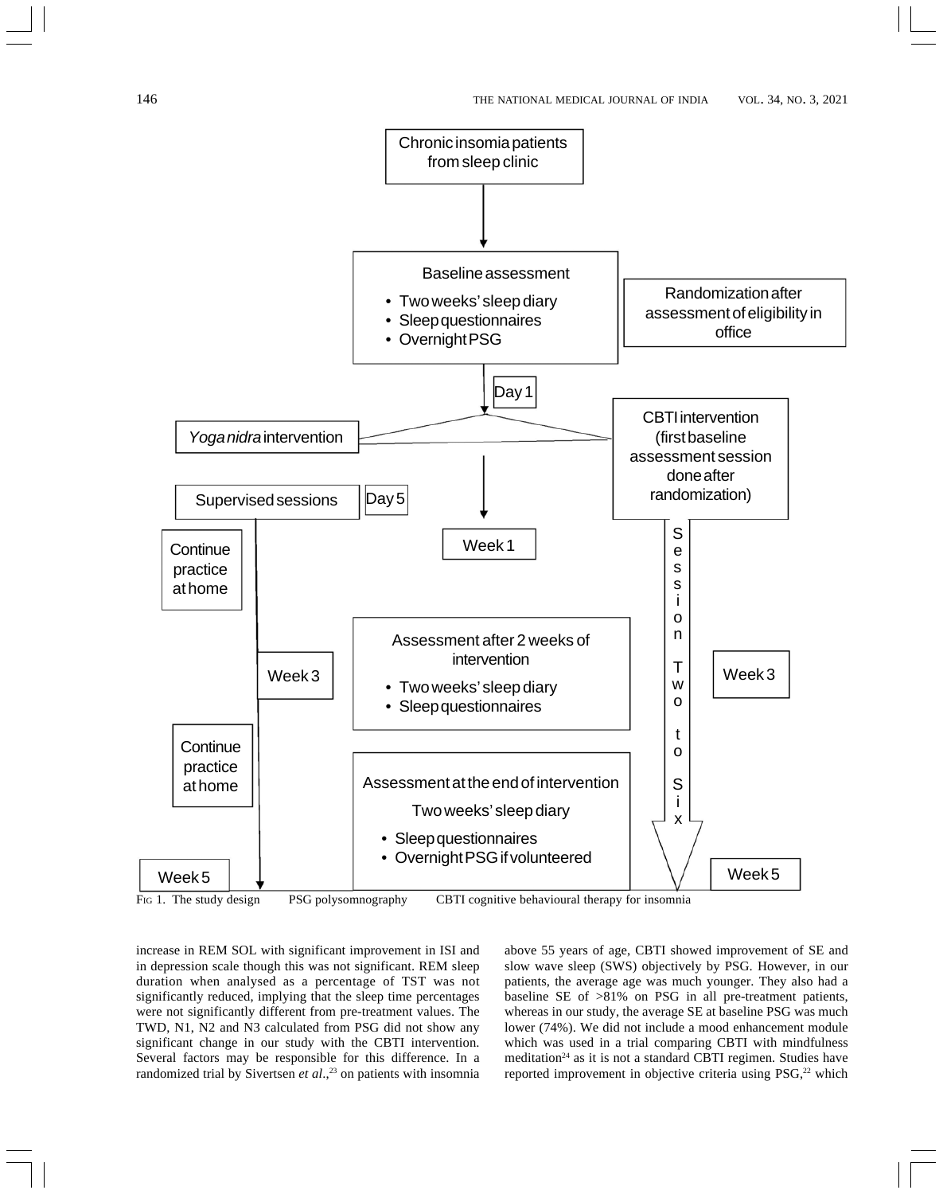

FIG 1. The study design PSG polysomnography CBTI cognitive behavioural therapy for insomnia

increase in REM SOL with significant improvement in ISI and in depression scale though this was not significant. REM sleep duration when analysed as a percentage of TST was not significantly reduced, implying that the sleep time percentages were not significantly different from pre-treatment values. The TWD, N1, N2 and N3 calculated from PSG did not show any significant change in our study with the CBTI intervention. Several factors may be responsible for this difference. In a randomized trial by Sivertsen et al.,<sup>23</sup> on patients with insomnia above 55 years of age, CBTI showed improvement of SE and slow wave sleep (SWS) objectively by PSG. However, in our patients, the average age was much younger. They also had a baseline SE of >81% on PSG in all pre-treatment patients, whereas in our study, the average SE at baseline PSG was much lower (74%). We did not include a mood enhancement module which was used in a trial comparing CBTI with mindfulness meditation<sup>24</sup> as it is not a standard CBTI regimen. Studies have reported improvement in objective criteria using PSG,<sup>22</sup> which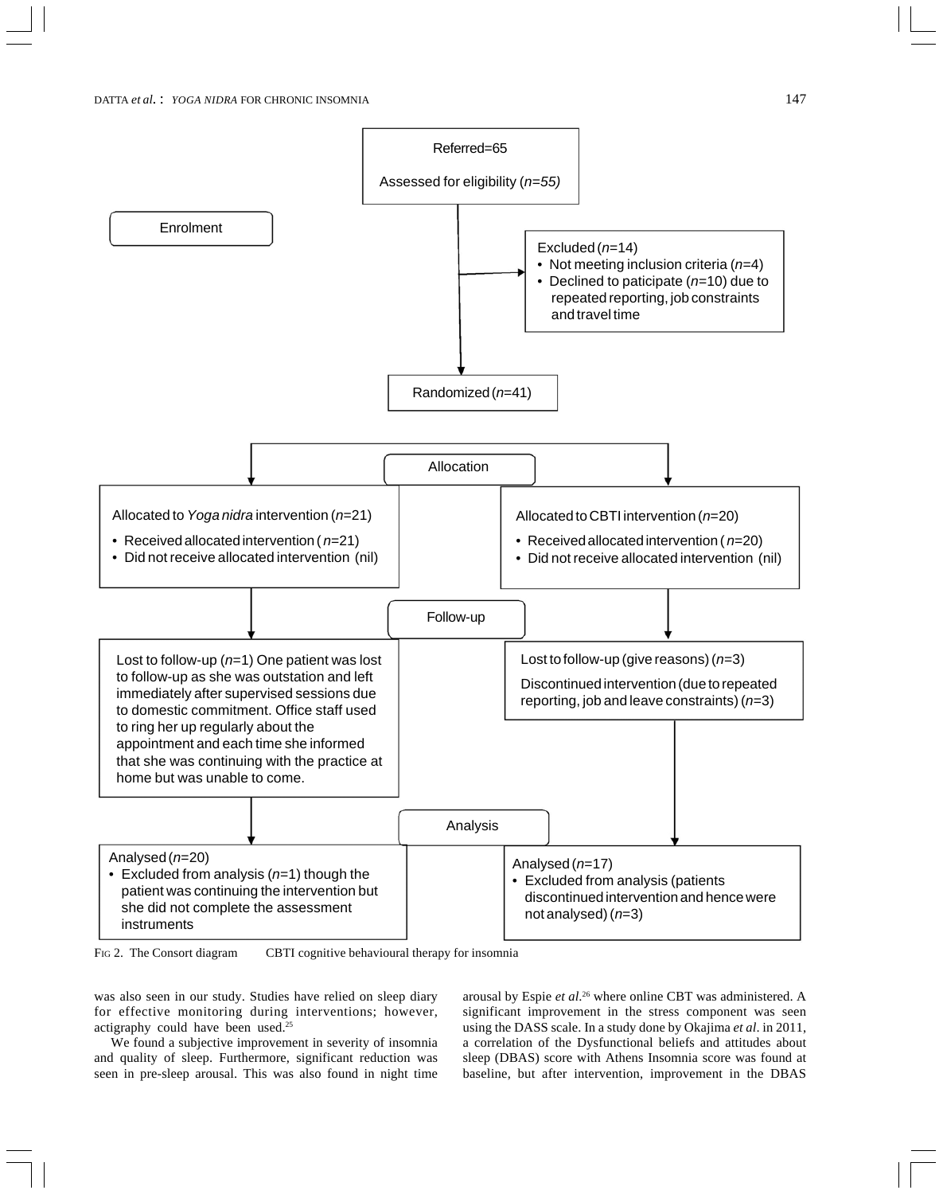

FIG 2. The Consort diagram CBTI cognitive behavioural therapy for insomnia

was also seen in our study. Studies have relied on sleep diary for effective monitoring during interventions; however, actigraphy could have been used.25

We found a subjective improvement in severity of insomnia and quality of sleep. Furthermore, significant reduction was seen in pre-sleep arousal. This was also found in night time

arousal by Espie *et al*. 26 where online CBT was administered. A significant improvement in the stress component was seen using the DASS scale. In a study done by Okajima *et al*. in 2011, a correlation of the Dysfunctional beliefs and attitudes about sleep (DBAS) score with Athens Insomnia score was found at baseline, but after intervention, improvement in the DBAS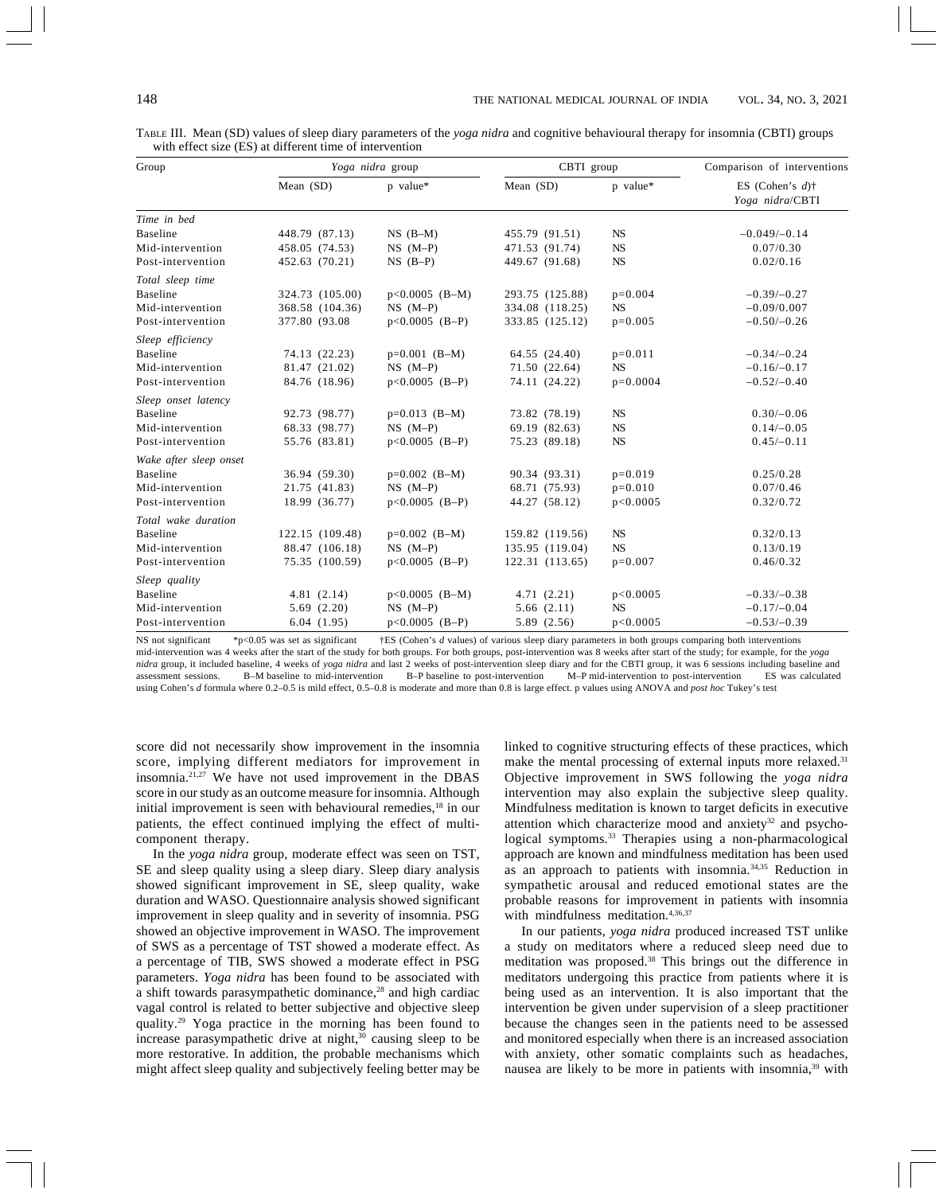| Group                  |                 | Yoga nidra group | CBTI group      |            | Comparison of interventions           |  |
|------------------------|-----------------|------------------|-----------------|------------|---------------------------------------|--|
|                        | Mean (SD)       | p value*         | Mean (SD)       | p value*   | ES (Cohen's $d$ )†<br>Yoga nidra/CBTI |  |
| Time in hed            |                 |                  |                 |            |                                       |  |
| Baseline               | 448.79 (87.13)  | $NS$ $(B-M)$     | 455.79 (91.51)  | <b>NS</b>  | $-0.049/-0.14$                        |  |
| Mid-intervention       | 458.05 (74.53)  | $NS$ $(M-P)$     | 471.53 (91.74)  | <b>NS</b>  | 0.07/0.30                             |  |
| Post-intervention      | 452.63 (70.21)  | $NS$ $(B-P)$     | 449.67 (91.68)  | <b>NS</b>  | 0.02/0.16                             |  |
| Total sleep time       |                 |                  |                 |            |                                       |  |
| <b>Baseline</b>        | 324.73 (105.00) | $p<0.0005$ (B-M) | 293.75 (125.88) | $p=0.004$  | $-0.39/-0.27$                         |  |
| Mid-intervention       | 368.58 (104.36) | $NS$ $(M-P)$     | 334.08 (118.25) | <b>NS</b>  | $-0.09/0.007$                         |  |
| Post-intervention      | 377.80 (93.08)  | $p<0.0005$ (B-P) | 333.85 (125.12) | $p=0.005$  | $-0.50/-0.26$                         |  |
| Sleep efficiency       |                 |                  |                 |            |                                       |  |
| Baseline               | 74.13 (22.23)   | $p=0.001$ (B-M)  | 64.55 (24.40)   | $p=0.011$  | $-0.34/-0.24$                         |  |
| Mid-intervention       | 81.47 (21.02)   | $NS$ $(M-P)$     | 71.50 (22.64)   | <b>NS</b>  | $-0.16/-0.17$                         |  |
| Post-intervention      | 84.76 (18.96)   | $p<0.0005$ (B-P) | 74.11 (24.22)   | $p=0.0004$ | $-0.52/-0.40$                         |  |
| Sleep onset latency    |                 |                  |                 |            |                                       |  |
| <b>Baseline</b>        | 92.73 (98.77)   | $p=0.013$ (B-M)  | 73.82 (78.19)   | <b>NS</b>  | $0.30/-0.06$                          |  |
| Mid-intervention       | 68.33 (98.77)   | $NS$ $(M-P)$     | 69.19 (82.63)   | <b>NS</b>  | $0.14/-0.05$                          |  |
| Post-intervention      | 55.76 (83.81)   | $p<0.0005$ (B-P) | 75.23 (89.18)   | <b>NS</b>  | $0.45/-0.11$                          |  |
| Wake after sleep onset |                 |                  |                 |            |                                       |  |
| Baseline               | 36.94 (59.30)   | $p=0.002$ (B-M)  | 90.34 (93.31)   | $p=0.019$  | 0.25/0.28                             |  |
| Mid-intervention       | 21.75 (41.83)   | $NS$ $(M-P)$     | 68.71 (75.93)   | $p=0.010$  | 0.07/0.46                             |  |
| Post-intervention      | 18.99 (36.77)   | $p<0.0005$ (B-P) | 44.27 (58.12)   | p<0.0005   | 0.32/0.72                             |  |
| Total wake duration    |                 |                  |                 |            |                                       |  |
| <b>Baseline</b>        | 122.15 (109.48) | $p=0.002$ (B-M)  | 159.82 (119.56) | <b>NS</b>  | 0.32/0.13                             |  |
| Mid-intervention       | 88.47 (106.18)  | $NS$ $(M-P)$     | 135.95 (119.04) | <b>NS</b>  | 0.13/0.19                             |  |
| Post-intervention      | 75.35 (100.59)  | $p<0.0005$ (B-P) | 122.31 (113.65) | $p=0.007$  | 0.46/0.32                             |  |
| Sleep quality          |                 |                  |                 |            |                                       |  |
| <b>Baseline</b>        | 4.81(2.14)      | $p<0.0005$ (B-M) | 4.71(2.21)      | p<0.0005   | $-0.33/-0.38$                         |  |
| Mid-intervention       | 5.69(2.20)      | $NS$ $(M-P)$     | 5.66(2.11)      | <b>NS</b>  | $-0.17/-0.04$                         |  |
| Post-intervention      | 6.04(1.95)      | $p<0.0005$ (B-P) | 5.89 (2.56)     | p<0.0005   | $-0.53/-0.39$                         |  |

TABLE III. Mean (SD) values of sleep diary parameters of the *yoga nidra* and cognitive behavioural therapy for insomnia (CBTI) groups with effect size (ES) at different time of intervention

NS not significant \*p<0.05 was set as significant  $+ES$  (Cohen's *d* values) of various sleep diary parameters in both groups comparing both interventions mid-intervention was 4 weeks after the start of the study for both groups. For both groups, post-intervention was 8 weeks after start of the study; for example, for the *yoga nidra* group, it included baseline, 4 weeks of *yoga nidra* and last 2 weeks of post-intervention sleep diary and for the CBTI group, it was 6 sessions including baseline and assessment sessions. B-M baseline to mid-inter  $M-P$  mid-intervention to post-intervention using Cohen's *d* formula where 0.2–0.5 is mild effect, 0.5–0.8 is moderate and more than 0.8 is large effect. p values using ANOVA and *post hoc* Tukey's test

score did not necessarily show improvement in the insomnia score, implying different mediators for improvement in insomnia.21,27 We have not used improvement in the DBAS score in our study as an outcome measure for insomnia. Although initial improvement is seen with behavioural remedies,<sup>18</sup> in our patients, the effect continued implying the effect of multicomponent therapy.

In the *yoga nidra* group, moderate effect was seen on TST, SE and sleep quality using a sleep diary. Sleep diary analysis showed significant improvement in SE, sleep quality, wake duration and WASO. Questionnaire analysis showed significant improvement in sleep quality and in severity of insomnia. PSG showed an objective improvement in WASO. The improvement of SWS as a percentage of TST showed a moderate effect. As a percentage of TIB, SWS showed a moderate effect in PSG parameters. *Yoga nidra* has been found to be associated with a shift towards parasympathetic dominance,<sup>28</sup> and high cardiac vagal control is related to better subjective and objective sleep quality.29 Yoga practice in the morning has been found to increase parasympathetic drive at night, $30$  causing sleep to be more restorative. In addition, the probable mechanisms which might affect sleep quality and subjectively feeling better may be

linked to cognitive structuring effects of these practices, which make the mental processing of external inputs more relaxed.<sup>31</sup> Objective improvement in SWS following the *yoga nidra* intervention may also explain the subjective sleep quality. Mindfulness meditation is known to target deficits in executive attention which characterize mood and anxiety $32$  and psychological symptoms.<sup>33</sup> Therapies using a non-pharmacological approach are known and mindfulness meditation has been used as an approach to patients with insomnia.34,35 Reduction in sympathetic arousal and reduced emotional states are the probable reasons for improvement in patients with insomnia with mindfulness meditation.<sup>4,36,37</sup>

In our patients, *yoga nidra* produced increased TST unlike a study on meditators where a reduced sleep need due to meditation was proposed.<sup>38</sup> This brings out the difference in meditators undergoing this practice from patients where it is being used as an intervention. It is also important that the intervention be given under supervision of a sleep practitioner because the changes seen in the patients need to be assessed and monitored especially when there is an increased association with anxiety, other somatic complaints such as headaches, nausea are likely to be more in patients with insomnia,<sup>39</sup> with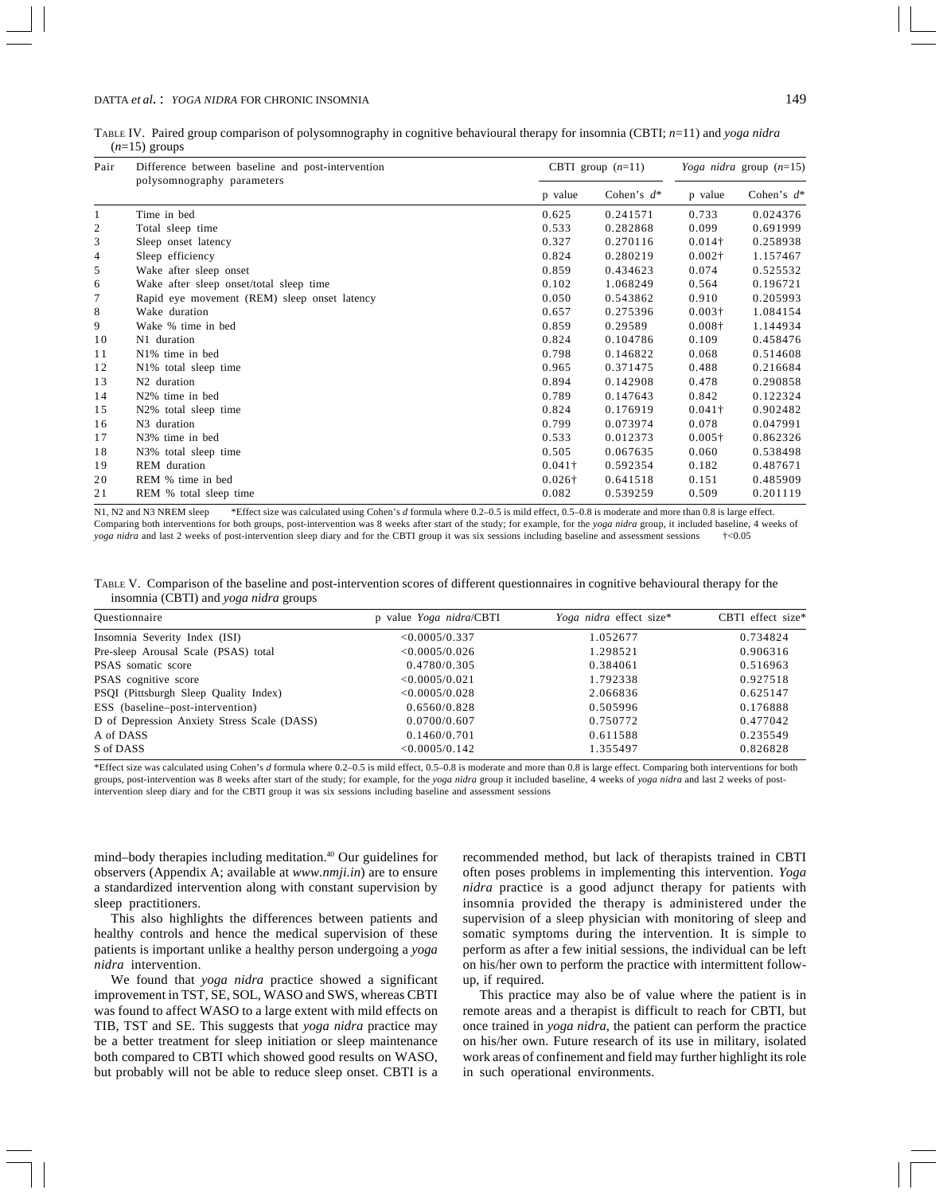TABLE IV. Paired group comparison of polysomnography in cognitive behavioural therapy for insomnia (CBTI; *n*=11) and *yoga nidra* (*n*=15) groups

| Pair | Difference between baseline and post-intervention |                | CBTI group $(n=11)$ |                | Yoga nidra group $(n=15)$ |  |
|------|---------------------------------------------------|----------------|---------------------|----------------|---------------------------|--|
|      | polysomnography parameters                        | p value        | Cohen's $d^*$       | p value        | Cohen's $d^*$             |  |
| -1   | Time in bed                                       | 0.625          | 0.241571            | 0.733          | 0.024376                  |  |
| 2    | Total sleep time                                  | 0.533          | 0.282868            | 0.099          | 0.691999                  |  |
| 3    | Sleep onset latency                               | 0.327          | 0.270116            | $0.014\dagger$ | 0.258938                  |  |
| 4    | Sleep efficiency                                  | 0.824          | 0.280219            | $0.002\dagger$ | 1.157467                  |  |
| 5    | Wake after sleep onset                            | 0.859          | 0.434623            | 0.074          | 0.525532                  |  |
| 6    | Wake after sleep onset/total sleep time           | 0.102          | 1.068249            | 0.564          | 0.196721                  |  |
| 7    | Rapid eye movement (REM) sleep onset latency      | 0.050          | 0.543862            | 0.910          | 0.205993                  |  |
| 8    | Wake duration                                     | 0.657          | 0.275396            | $0.003\dagger$ | 1.084154                  |  |
| 9    | Wake % time in bed                                | 0.859          | 0.29589             | $0.008\dagger$ | 1.144934                  |  |
| 10   | N1 duration                                       | 0.824          | 0.104786            | 0.109          | 0.458476                  |  |
| 11   | N1% time in bed                                   | 0.798          | 0.146822            | 0.068          | 0.514608                  |  |
| 12   | N <sub>1</sub> % total sleep time                 | 0.965          | 0.371475            | 0.488          | 0.216684                  |  |
| 13   | N <sub>2</sub> duration                           | 0.894          | 0.142908            | 0.478          | 0.290858                  |  |
| 14   | N <sub>2</sub> % time in bed                      | 0.789          | 0.147643            | 0.842          | 0.122324                  |  |
| 15   | N2% total sleep time                              | 0.824          | 0.176919            | $0.041\dagger$ | 0.902482                  |  |
| 16   | N <sub>3</sub> duration                           | 0.799          | 0.073974            | 0.078          | 0.047991                  |  |
| 17   | N <sub>3</sub> % time in bed                      | 0.533          | 0.012373            | $0.005\dagger$ | 0.862326                  |  |
| 18   | N3% total sleep time                              | 0.505          | 0.067635            | 0.060          | 0.538498                  |  |
| 19   | REM duration                                      | $0.041\dagger$ | 0.592354            | 0.182          | 0.487671                  |  |
| 20   | REM % time in bed                                 | $0.026\dagger$ | 0.641518            | 0.151          | 0.485909                  |  |
| 21   | REM % total sleep time                            | 0.082          | 0.539259            | 0.509          | 0.201119                  |  |

N1, N2 and N3 NREM sleep \*Effect size was calculated using Cohen's *d* formula where 0.2–0.5 is mild effect, 0.5–0.8 is moderate and more than 0.8 is large effect. Comparing both interventions for both groups, post-intervention was 8 weeks after start of the study; for example, for the *yoga nidra* group, it included baseline, 4 weeks of *yoga nidra* and last 2 weeks of post-intervention sleep diary and for the CBTI group it was six sessions including baseline and assessment sessions †<0.05

|  | TABLE V. Comparison of the baseline and post-intervention scores of different questionnaires in cognitive behavioural therapy for the |  |  |  |  |
|--|---------------------------------------------------------------------------------------------------------------------------------------|--|--|--|--|
|  | insomnia (CBTI) and <i>yoga nidra</i> groups                                                                                          |  |  |  |  |

| Questionnaire                               | p value Yoga nidra/CBTI | Yoga nidra effect size* | CBTI effect size* |  |
|---------------------------------------------|-------------------------|-------------------------|-------------------|--|
| Insomnia Severity Index (ISI)               | < 0.0005/0.337          | 1.052677                | 0.734824          |  |
| Pre-sleep Arousal Scale (PSAS) total        | < 0.0005/0.026          | 1.298521                | 0.906316          |  |
| PSAS somatic score                          | 0.4780/0.305            | 0.384061                | 0.516963          |  |
| PSAS cognitive score                        | < 0.0005/0.021          | 1.792338                | 0.927518          |  |
| PSQI (Pittsburgh Sleep Quality Index)       | < 0.0005/0.028          | 2.066836                | 0.625147          |  |
| ESS (baseline-post-intervention)            | 0.6560/0.828            | 0.505996                | 0.176888          |  |
| D of Depression Anxiety Stress Scale (DASS) | 0.0700/0.607            | 0.750772                | 0.477042          |  |
| A of DASS                                   | 0.1460/0.701            | 0.611588                | 0.235549          |  |
| S of DASS                                   | < 0.0005/0.142          | 1.355497                | 0.826828          |  |

\*Effect size was calculated using Cohen's *d* formula where 0.2–0.5 is mild effect, 0.5–0.8 is moderate and more than 0.8 is large effect. Comparing both interventions for both groups, post-intervention was 8 weeks after start of the study; for example, for the *yoga nidra* group it included baseline, 4 weeks of *yoga nidra* and last 2 weeks of postintervention sleep diary and for the CBTI group it was six sessions including baseline and assessment sessions

mind–body therapies including meditation.40 Our guidelines for observers (Appendix A; available at *www.nmji.in*) are to ensure a standardized intervention along with constant supervision by sleep practitioners.

This also highlights the differences between patients and healthy controls and hence the medical supervision of these patients is important unlike a healthy person undergoing a *yoga nidra* intervention.

We found that *yoga nidra* practice showed a significant improvement in TST, SE, SOL, WASO and SWS, whereas CBTI was found to affect WASO to a large extent with mild effects on TIB, TST and SE. This suggests that *yoga nidra* practice may be a better treatment for sleep initiation or sleep maintenance both compared to CBTI which showed good results on WASO, but probably will not be able to reduce sleep onset. CBTI is a

recommended method, but lack of therapists trained in CBTI often poses problems in implementing this intervention. *Yoga nidra* practice is a good adjunct therapy for patients with insomnia provided the therapy is administered under the supervision of a sleep physician with monitoring of sleep and somatic symptoms during the intervention. It is simple to perform as after a few initial sessions, the individual can be left on his/her own to perform the practice with intermittent followup, if required.

This practice may also be of value where the patient is in remote areas and a therapist is difficult to reach for CBTI, but once trained in *yoga nidra*, the patient can perform the practice on his/her own. Future research of its use in military, isolated work areas of confinement and field may further highlight its role in such operational environments.